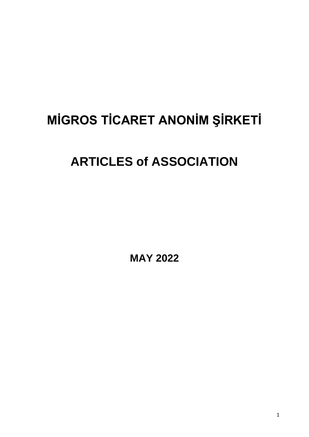# **MİGROS TİCARET ANONİM ŞİRKETİ**

## **ARTICLES of ASSOCIATION**

**MAY 2022**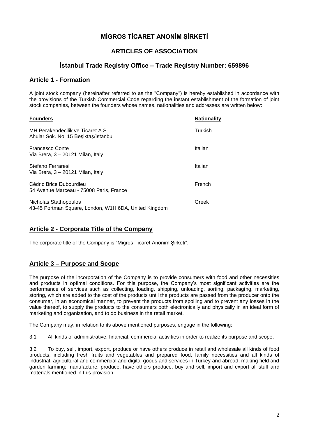## **MİGROS TİCARET ANONİM ŞİRKETİ**

## **ARTICLES OF ASSOCIATION**

## **İstanbul Trade Registry Office – Trade Registry Number: 659896**

#### **Article 1 - Formation**

A joint stock company (hereinafter referred to as the "Company") is hereby established in accordance with the provisions of the Turkish Commercial Code regarding the instant establishment of the formation of joint stock companies, between the founders whose names, nationalities and addresses are written below:

| <b>Founders</b>                                                                | <b>Nationality</b> |
|--------------------------------------------------------------------------------|--------------------|
| MH Perakendecilik ve Ticaret A.S.<br>Ahular Sok. No: 15 Beşiktaş/Istanbul      | Turkish            |
| <b>Francesco Conte</b><br>Via Brera, 3 - 20121 Milan, Italy                    | Italian            |
| Stefano Ferraresi<br>Via Brera, 3 - 20121 Milan, Italy                         | Italian            |
| Cédric Brice Dubourdieu<br>54 Avenue Marceau - 75008 Paris, France             | French             |
| Nicholas Stathopoulos<br>43-45 Portman Square, London, W1H 6DA, United Kingdom | Greek              |

#### **Article 2 - Corporate Title of the Company**

The corporate title of the Company is "Migros Ticaret Anonim Sirketi".

#### **Article 3 – Purpose and Scope**

The purpose of the incorporation of the Company is to provide consumers with food and other necessities and products in optimal conditions. For this purpose, the Company's most significant activities are the performance of services such as collecting, loading, shipping, unloading, sorting, packaging, marketing, storing, which are added to the cost of the products until the products are passed from the producer onto the consumer, in an economical manner, to prevent the products from spoiling and to prevent any losses in the value thereof, to supply the products to the consumers both electronically and physically in an ideal form of marketing and organization, and to do business in the retail market.

The Company may, in relation to its above mentioned purposes, engage in the following:

3.1 All kinds of administrative, financial, commercial activities in order to realize its purpose and scope,

3.2 To buy, sell, import, export, produce or have others produce in retail and wholesale all kinds of food products, including fresh fruits and vegetables and prepared food, family necessities and all kinds of industrial, agricultural and commercial and digital goods and services in Turkey and abroad; making field and garden farming; manufacture, produce, have others produce, buy and sell, import and export all stuff and materials mentioned in this provision.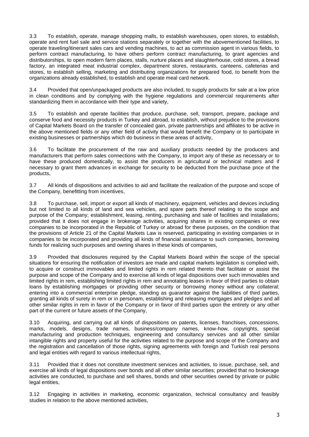3.3 To establish, operate, manage shopping malls, to establish warehouses, open stores, to establish, operate and rent fuel sale and service stations separately or together with the abovementioned facilities, to operate traveling/itinerant sales cars and vending machines, to act as commission agent in various fields, to perform contract manufacturing, to have others perform contract manufacturing, to grant agencies and distributorships, to open modern farm places, stalls, nurture places and slaughterhouse, cold stores, a bread factory, an integrated meat industrial complex, department stores, restaurants, canteens, cafeterias and stores, to establish selling, marketing and distributing organizations for prepared food, to benefit from the organizations already established, to establish and operate meal card network.

3.4 Provided that open/unpackaged products are also included, to supply products for sale at a low price in clean conditions and by complying with the hygiene regulations and commercial requirements after standardizing them in accordance with their type and variety,

3.5 To establish and operate facilities that produce, purchase, sell, transport, prepare, package and conserve food and necessity products in Turkey and abroad, to establish, without prejudice to the provisions of Capital Markets Board on the transfer of concealed gain, private partnerships and affiliates to be active in the above mentioned fields or any other field of activity that would benefit the Company or to participate in existing businesses or partnerships which do business in these areas of activity,

3.6 To facilitate the procurement of the raw and auxiliary products needed by the producers and manufacturers that perform sales connections with the Company, to import any of these as necessary or to have these produced domestically, to assist the producers in agricultural or technical matters and if necessary to grant them advances in exchange for security to be deducted from the purchase price of the products,

3.7 All kinds of dispositions and activities to aid and facilitate the realization of the purpose and scope of the Company, benefitting from incentives,

3.8 To purchase, sell, import or export all kinds of machinery, equipment, vehicles and devices including but not limited to all kinds of land and sea vehicles, and spare parts thereof relating to the scope and purpose of the Company; establishment, leasing, renting, purchasing and sale of facilities and installations; provided that it does not engage in brokerage activities, acquiring shares in existing companies or new companies to be incorporated in the Republic of Turkey or abroad for these purposes, on the condition that the provisions of Article 21 of the Capital Markets Law is reserved, participating in existing companies or in companies to be incorporated and providing all kinds of financial assistance to such companies, borrowing funds for realizing such purposes and owning shares in these kinds of companies,

3.9 Provided that disclosures required by the Capital Markets Board within the scope of the special situations for ensuring the notification of investors are made and capital markets legislation is complied with, to acquire or construct immovables and limited rights in rem related thereto that facilitate or assist the purpose and scope of the Company and to exercise all kinds of legal dispositions over such immovables and limited rights in rem, establishing limited rights in rem and annotating leases in favor of third parties to obtain loans by establishing mortgages or providing other security or borrowing money without any collateral; entering into a commercial enterprise pledge, standing as guarantor against the liabilities of third parties, granting all kinds of surety in rem or in personam, establishing and releasing mortgages and pledges and all other similar rights in rem in favor of the Company or in favor of third parties upon the entirety or any other part of the current or future assets of the Company,

3.10 Acquiring, and carrying out all kinds of dispositions on patents, licenses, franchises, concessions, marks, models, designs, trade names, business/company names, know-how, copyrights, special manufacturing and production techniques, engineering and consultancy services and all other similar intangible rights and property useful for the activities related to the purpose and scope of the Company and the registration and cancellation of those rights, signing agreements with foreign and Turkish real persons and legal entities with regard to various intellectual rights,

3.11 Provided that it does not constitute investment services and activities, to issue, purchase, sell, and exercise all kinds of legal dispositions over bonds and all other similar securities; provided that no brokerage activities are conducted, to purchase and sell shares, bonds and other securities owned by private or public legal entities,

3.12 Engaging in activities in marketing, economic organization, technical consultancy and feasibly studies in relation to the above mentioned activities,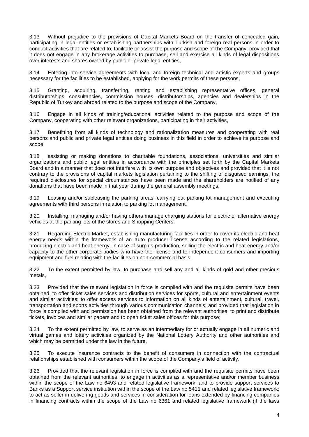3.13 Without prejudice to the provisions of Capital Markets Board on the transfer of concealed gain, participating in legal entities or establishing partnerships with Turkish and foreign real persons in order to conduct activities that are related to, facilitate or assist the purpose and scope of the Company; provided that it does not engage in any brokerage activities to purchase, sell and exercise all kinds of legal dispositions over interests and shares owned by public or private legal entities,

3.14 Entering into service agreements with local and foreign technical and artistic experts and groups necessary for the facilities to be established, applying for the work permits of these persons,

3.15 Granting, acquiring, transferring, renting and establishing representative offices, general distributorships, consultancies, commission houses, distributorships, agencies and dealerships in the Republic of Turkey and abroad related to the purpose and scope of the Company,

3.16 Engage in all kinds of training/educational activities related to the purpose and scope of the Company, cooperating with other relevant organizations, participating in their activities,

3.17 Benefitting from all kinds of technology and rationalization measures and cooperating with real persons and public and private legal entities doing business in this field in order to achieve its purpose and scope,

3.18 assisting or making donations to charitable foundations, associations, universities and similar organizations and public legal entities in accordance with the principles set forth by the Capital Markets Board and in a manner that does not interfere with its own purpose and objectives and provided that it is not contrary to the provisions of capital markets legislation pertaining to the shifting of disguised earnings, the required disclosures for special circumstances have been made and the shareholders are notified of any donations that have been made in that year during the general assembly meetings,

3.19 Leasing and/or subleasing the parking areas, carrying out parking lot management and executing agreements with third persons in relation to parking lot management,

3.20 Installing, managing and/or having others manage charging stations for electric or alternative energy vehicles at the parking lots of the stores and Shopping Centers.

3.21 Regarding Electric Market, establishing manufacturing facilities in order to cover its electric and heat energy needs within the framework of an auto producer license according to the related legislations, producing electric and heat energy, in case of surplus production, selling the electric and heat energy and/or capacity to the other corporate bodies who have the license and to independent consumers and importing equipment and fuel relating with the facilities on non-commercial basis.

3.22 To the extent permitted by law, to purchase and sell any and all kinds of gold and other precious metals,

3.23 Provided that the relevant legislation in force is complied with and the requisite permits have been obtained, to offer ticket sales services and distribution services for sports, cultural and entertainment events and similar activities; to offer access services to information on all kinds of entertainment, cultural, travel, transportation and sports activities through various communication channels; and provided that legislation in force is complied with and permission has been obtained from the relevant authorities, to print and distribute tickets, invoices and similar papers and to open ticket sales offices for this purpose;

3.24 To the extent permitted by law, to serve as an intermediary for or actually engage in all numeric and virtual games and lottery activities organized by the National Lottery Authority and other authorities and which may be permitted under the law in the future.

3.25 To execute insurance contracts to the benefit of consumers in connection with the contractual relationships established with consumers within the scope of the Company's field of activity,

3.26 Provided that the relevant legislation in force is complied with and the requisite permits have been obtained from the relevant authorities, to engage in activities as a representative and/or member business within the scope of the Law no 6493 and related legislative framework; and to provide support services to Banks as a Support service institution within the scope of the Law no 5411 and related legislative framework; to act as seller in delivering goods and services in consideration for loans extended by financing companies in financing contracts within the scope of the Law no 6361 and related legislative framework (if the laws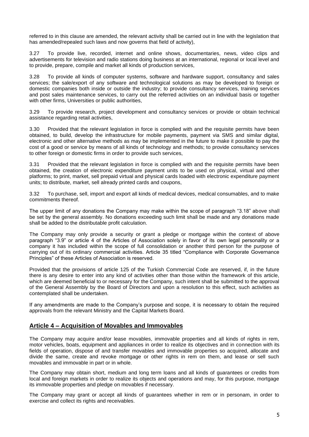referred to in this clause are amended, the relevant activity shall be carried out in line with the legislation that has amended/repealed such laws and now governs that field of activity),

3.27 To provide live, recorded, internet and online shows, documentaries, news, video clips and advertisements for television and radio stations doing business at an international, regional or local level and to provide, prepare, compile and market all kinds of production services,

3.28 To provide all kinds of computer systems, software and hardware support, consultancy and sales services; the sale/export of any software and technological solutions as may be developed to foreign or domestic companies both inside or outside the industry; to provide consultancy services, training services and post sales maintenance services, to carry out the referred activities on an individual basis or together with other firms, Universities or public authorities,

3.29 To provide research, project development and consultancy services or provide or obtain technical assistance regarding retail activities,

3.30 Provided that the relevant legislation in force is complied with and the requisite permits have been obtained, to build, develop the infrastructure for mobile payments, payment via SMS and similar digital, electronic and other alternative methods as may be implemented in the future to make it possible to pay the cost of a good or service by means of all kinds of technology and methods; to provide consultancy services to other foreign or domestic firms in order to provide such services.

3.31 Provided that the relevant legislation in force is complied with and the requisite permits have been obtained, the creation of electronic expenditure payment units to be used on physical, virtual and other platforms; to print, market, sell prepaid virtual and physical cards loaded with electronic expenditure payment units; to distribute, market, sell already printed cards and coupons,

3.32 To purchase, sell, import and export all kinds of medical devices, medical consumables, and to make commitments thereof.

The upper limit of any donations the Company may make within the scope of paragraph "3.18" above shall be set by the general assembly. No donations exceeding such limit shall be made and any donations made shall be added to the distributable profit calculation.

The Company may only provide a security or grant a pledge or mortgage within the context of above paragraph "3.9" or article 4 of the Articles of Association solely in favor of its own legal personality or a company it has included within the scope of full consolidation or another third person for the purpose of carrying out of its ordinary commercial activities. Article 35 titled "Compliance with Corporate Governance Principles" of these Articles of Association is reserved.

Provided that the provisions of article 125 of the Turkish Commercial Code are reserved, if, in the future there is any desire to enter into any kind of activities other than those within the framework of this article, which are deemed beneficial to or necessary for the Company, such intent shall be submitted to the approval of the General Assembly by the Board of Directors and upon a resolution to this effect, such activities as contemplated shall be undertaken.

If any amendments are made to the Company's purpose and scope, it is necessary to obtain the required approvals from the relevant Ministry and the Capital Markets Board.

#### **Article 4 – Acquisition of Movables and Immovables**

The Company may acquire and/or lease movables, immovable properties and all kinds of rights in rem, motor vehicles, boats, equipment and appliances in order to realize its objectives and in connection with its fields of operation, dispose of and transfer movables and immovable properties so acquired, allocate and divide the same, create and revoke mortgage or other rights in rem on them, and lease or sell such movables and immovable in part or in whole.

The Company may obtain short, medium and long term loans and all kinds of guarantees or credits from local and foreign markets in order to realize its objects and operations and may, for this purpose, mortgage its immovable properties and pledge on movables if necessary.

The Company may grant or accept all kinds of guarantees whether in rem or in personam, in order to exercise and collect its rights and receivables.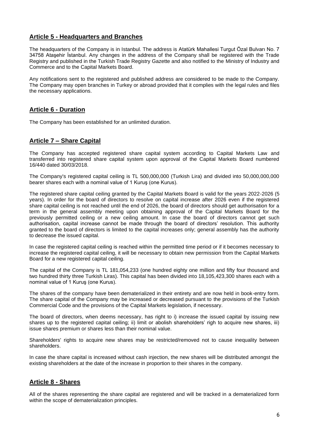#### **Article 5 - Headquarters and Branches**

The headquarters of the Company is in Istanbul. The address is Atatürk Mahallesi Turgut Özal Bulvarı No. 7 34758 Ataşehir İstanbul. Any changes in the address of the Company shall be registered with the Trade Registry and published in the Turkish Trade Registry Gazette and also notified to the Ministry of Industry and Commerce and to the Capital Markets Board.

Any notifications sent to the registered and published address are considered to be made to the Company. The Company may open branches in Turkey or abroad provided that it complies with the legal rules and files the necessary applications.

#### **Article 6 - Duration**

The Company has been established for an unlimited duration.

#### **Article 7 – Share Capital**

The Company has accepted registered share capital system according to Capital Markets Law and transferred into registered share capital system upon approval of the Capital Markets Board numbered 16/440 dated 30/03/2018.

The Company's registered capital ceiling is TL 500,000,000 (Turkish Lira) and divided into 50,000,000,000 bearer shares each with a nominal value of 1 Kuruş (one Kurus).

The registered share capital ceiling granted by the Capital Markets Board is valid for the years 2022-2026 (5 years). In order for the board of directors to resolve on capital increase after 2026 even if the registered share capital ceiling is not reached until the end of 2026, the board of directors should get authorisation for a term in the general assembly meeting upon obtaining approval of the Capital Markets Board for the previously permitted ceiling or a new ceiling amount. In case the board of directors cannot get such authorisation, capital increase cannot be made through the board of directors' resolution. This authority granted to the board of directors is limited to the capital increases only; general assembly has the authority to decrease the issued capital.

In case the registered capital ceiling is reached within the permitted time period or if it becomes necessary to increase the registered capital ceiling, it will be necessary to obtain new permission from the Capital Markets Board for a new registered capital ceiling.

The capital of the Company is TL 181,054,233 (one hundred eighty one million and fifty four thousand and two hundred thirty three Turkish Liras). This capital has been divided into 18,105,423,300 shares each with a nominal value of 1 Kuruş (one Kurus).

The shares of the company have been dematerialized in their entirety and are now held in book-entry form. The share capital of the Company may be increased or decreased pursuant to the provisions of the Turkish Commercial Code and the provisions of the Capital Markets legislation, if necessary.

The board of directors, when deems necessary, has right to i) increase the issued capital by issuing new shares up to the registered capital ceiling; ii) limit or abolish shareholders' righ to acquire new shares, iii) issue shares premium or shares less than their nominal value.

Shareholders' rights to acquire new shares may be restricted/removed not to cause inequality between shareholders.

In case the share capital is increased without cash injection, the new shares will be distributed amongst the existing shareholders at the date of the increase in proportion to their shares in the company.

#### **Article 8 - Shares**

All of the shares representing the share capital are registered and will be tracked in a dematerialized form within the scope of dematerialization principles.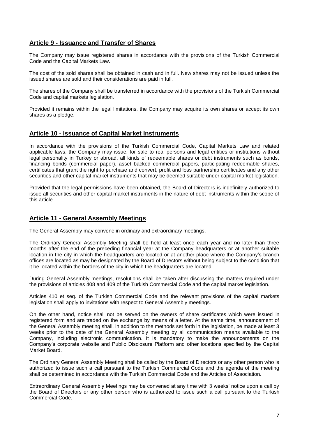## **Article 9 - Issuance and Transfer of Shares**

The Company may issue registered shares in accordance with the provisions of the Turkish Commercial Code and the Capital Markets Law.

The cost of the sold shares shall be obtained in cash and in full. New shares may not be issued unless the issued shares are sold and their considerations are paid in full.

The shares of the Company shall be transferred in accordance with the provisions of the Turkish Commercial Code and capital markets legislation.

Provided it remains within the legal limitations, the Company may acquire its own shares or accept its own shares as a pledge.

#### **Article 10 - Issuance of Capital Market Instruments**

In accordance with the provisions of the Turkish Commercial Code, Capital Markets Law and related applicable laws, the Company may issue, for sale to real persons and legal entities or institutions without legal personality in Turkey or abroad, all kinds of redeemable shares or debt instruments such as bonds, financing bonds (commercial paper), asset backed commercial papers, participating redeemable shares, certificates that grant the right to purchase and convert, profit and loss partnership certificates and any other securities and other capital market instruments that may be deemed suitable under capital market legislation.

Provided that the legal permissions have been obtained, the Board of Directors is indefinitely authorized to issue all securities and other capital market instruments in the nature of debt instruments within the scope of this article.

#### **Article 11 - General Assembly Meetings**

The General Assembly may convene in ordinary and extraordinary meetings.

The Ordinary General Assembly Meeting shall be held at least once each year and no later than three months after the end of the preceding financial year at the Company headquarters or at another suitable location in the city in which the headquarters are located or at another place where the Company's branch offices are located as may be designated by the Board of Directors without being subject to the condition that it be located within the borders of the city in which the headquarters are located.

During General Assembly meetings, resolutions shall be taken after discussing the matters required under the provisions of articles 408 and 409 of the Turkish Commercial Code and the capital market legislation.

Articles 410 et seq. of the Turkish Commercial Code and the relevant provisions of the capital markets legislation shall apply to invitations with respect to General Assembly meetings.

On the other hand, notice shall not be served on the owners of share certificates which were issued in registered form and are traded on the exchange by means of a letter. At the same time, announcement of the General Assembly meeting shall, in addition to the methods set forth in the legislation, be made at least 3 weeks prior to the date of the General Assembly meeting by all communication means available to the Company, including electronic communication. It is mandatory to make the announcements on the Company's corporate website and Public Disclosure Platform and other locations specified by the Capital Market Board.

The Ordinary General Assembly Meeting shall be called by the Board of Directors or any other person who is authorized to issue such a call pursuant to the Turkish Commercial Code and the agenda of the meeting shall be determined in accordance with the Turkish Commercial Code and the Articles of Association.

Extraordinary General Assembly Meetings may be convened at any time with 3 weeks' notice upon a call by the Board of Directors or any other person who is authorized to issue such a call pursuant to the Turkish Commercial Code.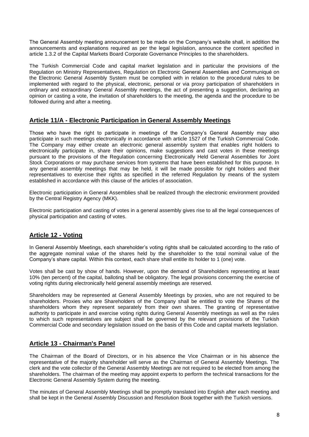The General Assembly meeting announcement to be made on the Company's website shall, in addition the announcements and explanations required as per the legal legislation, announce the content specified in article 1.3.2 of the Capital Markets Board Corporate Governance Principles to the shareholders.

The Turkish Commercial Code and capital market legislation and in particular the provisions of the Regulation on Ministry Representatives, Regulation on Electronic General Assemblies and Communiqué on the Electronic General Assembly System must be complied with in relation to the procedural rules to be implemented with regard to the physical, electronic, personal or via proxy participation of shareholders in ordinary and extraordinary General Assembly meetings, the act of presenting a suggestion, declaring an opinion or casting a vote, the invitation of shareholders to the meeting, the agenda and the procedure to be followed during and after a meeting.

#### **Article 11/A - Electronic Participation in General Assembly Meetings**

Those who have the right to participate in meetings of the Company's General Assembly may also participate in such meetings electronically in accordance with article 1527 of the Turkish Commercial Code. The Company may either create an electronic general assembly system that enables right holders to electronically participate in, share their opinions, make suggestions and cast votes in these meetings pursuant to the provisions of the Regulation concerning Electronically Held General Assemblies for Joint Stock Corporations or may purchase services from systems that have been established for this purpose. In any general assembly meetings that may be held, it will be made possible for right holders and their representatives to exercise their rights as specified in the referred Regulation by means of the system established in accordance with this clause of the articles of association.

Electronic participation in General Assemblies shall be realized through the electronic environment provided by the Central Registry Agency (MKK).

Electronic participation and casting of votes in a general assembly gives rise to all the legal consequences of physical participation and casting of votes.

#### **Article 12 - Voting**

In General Assembly Meetings, each shareholder's voting rights shall be calculated according to the ratio of the aggregate nominal value of the shares held by the shareholder to the total nominal value of the Company's share capital. Within this context, each share shall entitle its holder to 1 (one) vote.

Votes shall be cast by show of hands. However, upon the demand of Shareholders representing at least 10% (ten percent) of the capital, balloting shall be obligatory. The legal provisions concerning the exercise of voting rights during electronically held general assembly meetings are reserved.

Shareholders may be represented at General Assembly Meetings by proxies, who are not required to be shareholders. Proxies who are Shareholders of the Company shall be entitled to vote the Shares of the shareholders whom they represent separately from their own shares. The granting of representative authority to participate in and exercise voting rights during General Assembly meetings as well as the rules to which such representatives are subject shall be governed by the relevant provisions of the Turkish Commercial Code and secondary legislation issued on the basis of this Code and capital markets legislation.

#### **Article 13 - Chairman's Panel**

The Chairman of the Board of Directors, or in his absence the Vice Chairman or in his absence the representative of the majority shareholder will serve as the Chairman of General Assembly Meetings. The clerk and the vote collector of the General Assembly Meetings are not required to be elected from among the shareholders. The chairman of the meeting may appoint experts to perform the technical transactions for the Electronic General Assembly System during the meeting.

The minutes of General Assembly Meetings shall be promptly translated into English after each meeting and shall be kept in the General Assembly Discussion and Resolution Book together with the Turkish versions.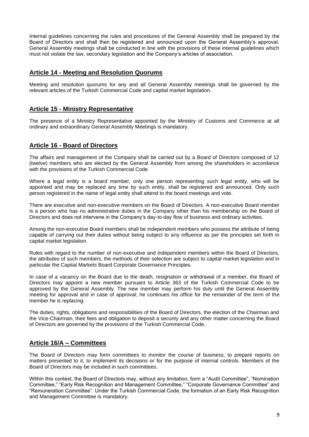Internal guidelines concerning the rules and procedures of the General Assembly shall be prepared by the Board of Directors and shall then be registered and announced upon the General Assembly's approval. General Assembly meetings shall be conducted in line with the provisions of these internal guidelines which must not violate the law, secondary legislation and the Company's articles of association.

#### **Article 14 - Meeting and Resolution Quorums**

Meeting and resolution quorums for any and all General Assembly meetings shall be governed by the relevant articles of the Turkish Commercial Code and capital market legislation.

#### **Article 15 - Ministry Representative**

The presence of a Ministry Representative appointed by the Ministry of Customs and Commerce at all ordinary and extraordinary General Assembly Meetings is mandatory.

#### **Article 16 - Board of Directors**

The affairs and management of the Company shall be carried out by a Board of Directors composed of 12 (twelve) members who are elected by the General Assembly from among the shareholders in accordance with the provisions of the Turkish Commercial Code.

Where a legal entity is a board member, only one person representing such legal entity, who will be appointed and may be replaced any time by such entity, shall be registered and announced. Only such person registered in the name of legal entity shall attend to the board meetings and vote.

There are executive and non-executive members on the Board of Directors. A non-executive Board member is a person who has no administrative duties in the Company other than his membership on the Board of Directors and does not intervene in the Company's day-to-day flow of business and ordinary activities.

Among the non-executive Board members shall be independent members who possess the attribute of being capable of carrying out their duties without being subject to any influence as per the principles set forth in capital market legislation.

Rules with regard to the number of non-executive and independent members within the Board of Directors, the attributes of such members, the methods of their selection are subject to capital market legislation and in particular the Capital Markets Board Corporate Governance Principles.

In case of a vacancy on the Board due to the death, resignation or withdrawal of a member, the Board of Directors may appoint a new member pursuant to Article 363 of the Turkish Commercial Code to be approved by the General Assembly. The new member may perform his duty until the General Assembly meeting for approval and in case of approval; he continues his office for the remainder of the term of the member he is replacing.

The duties, rights, obligations and responsibilities of the Board of Directors, the election of the Chairman and the Vice-Chairman, their fees and obligation to deposit a security and any other matter concerning the Board of Directors are governed by the provisions of the Turkish Commercial Code.

#### **Article 16/A – Committees**

The Board of Directors may form committees to monitor the course of business, to prepare reports on matters presented to it, to implement its decisions or for the purpose of internal controls. Members of the Board of Directors may be included in such committees.

Within this context, the Board of Directors may, without any limitation, form a "Audit Committee", "Nomination Committee," "Early Risk Recognition and Management Committee," "Corporate Governance Committee" and "Remuneration Committee". Under the Turkish Commercial Code, the formation of an Early Risk Recognition and Management Committee is mandatory.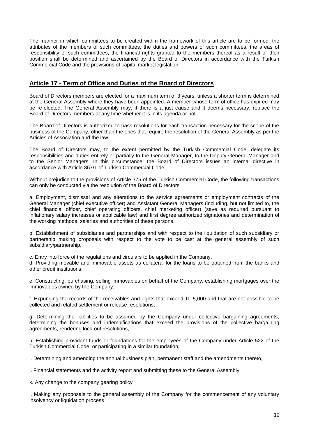The manner in which committees to be created within the framework of this article are to be formed, the attributes of the members of such committees, the duties and powers of such committees, the areas of responsibility of such committees, the financial rights granted to the members thereof as a result of their position shall be determined and ascertained by the Board of Directors in accordance with the Turkish Commercial Code and the provisions of capital market legislation.

### **Article 17 - Term of Office and Duties of the Board of Directors**

Board of Directors members are elected for a maximum term of 3 years, unless a shorter term is determined at the General Assembly where they have been appointed. A member whose term of office has expired may be re-elected. The General Assembly may, if there is a just cause and it deems necessary, replace the Board of Directors members at any time whether it is in its agenda or not.

The Board of Directors is authorized to pass resolutions for each transaction necessary for the scope of the business of the Company, other than the ones that require the resolution of the General Assembly as per the Articles of Association and the law.

The Board of Directors may, to the extent permitted by the Turkish Commercial Code, delegate its responsibilities and duties entirely or partially to the General Manager, to the Deputy General Manager and to the Senior Managers. In this circumstance, the Board of Directors issues an internal directive in accordance with Article 367/1 of Turkish Commercial Code.

Without prejudice to the provisions of Article 375 of the Turkish Commercial Code, the following transactions can only be conducted via the resolution of the Board of Directors

a. Employment, dismissal and any alterations to the service agreements or employment contracts of the General Manager (chief executive officer) and Assistant General Managers (including, but not limited to, the chief financial officer, chief operating officers, chief marketing officer) (save as required pursuant to inflationary salary increases or applicable law) and first degree authorized signatories and determination of the working methods, salaries and authorities of these persons,

b. Establishment of subsidiaries and partnerships and with respect to the liquidation of such subsidiary or partnership making proposals with respect to the vote to be cast at the general assembly of such subsidiary/partnership,

c. Entry into force of the regulations and circulars to be applied in the Company,

d. Providing movable and immovable assets as collateral for the loans to be obtained from the banks and other credit institutions,

e. Constructing, purchasing, selling immovables on behalf of the Company, establishing mortgages over the immovables owned by the Company;

f. Expunging the records of the receivables and rights that exceed TL 5,000 and that are not possible to be collected and related settlement or release resolutions,

g. Determining the liabilities to be assumed by the Company under collective bargaining agreements, determining the bonuses and indemnifications that exceed the provisions of the collective bargaining agreements, rendering lock-out resolutions,

h. Establishing provident funds or foundations for the employees of the Company under Article 522 of the Turkish Commercial Code, or participating in a similar foundation,

i. Determining and amending the annual business plan, permanent staff and the amendments thereto,

j. Financial statements and the activity report and submitting these to the General Assembly,

k. Any change to the company gearing policy

l. Making any proposals to the general assembly of the Company for the commencement of any voluntary insolvency or liquidation process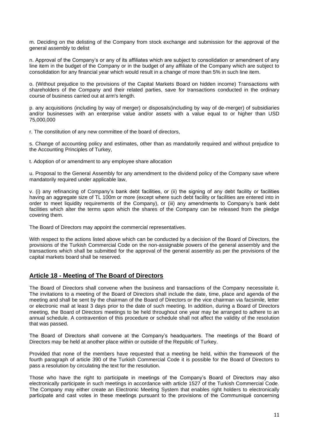m. Deciding on the delisting of the Company from stock exchange and submission for the approval of the general assembly to delist

n. Approval of the Company's or any of its affiliates which are subject to consolidation or amendment of any line item in the budget of the Company or in the budget of any affiliate of the Company which are subject to consolidation for any financial year which would result in a change of more than 5% in such line item.

o. (Without prejudice to the provisions of the Capital Markets Board on hidden income) Transactions with shareholders of the Company and their related parties, save for transactions conducted in the ordinary course of business carried out at arm's length.

p. any acquisitions (including by way of merger) or disposals(including by way of de-merger) of subsidiaries and/or businesses with an enterprise value and/or assets with a value equal to or higher than USD 75,000,000

r. The constitution of any new committee of the board of directors,

s. Change of accounting policy and estimates, other than as mandatorily required and without prejudice to the Accounting Principles of Turkey,

t. Adoption of or amendment to any employee share allocation

u. Proposal to the General Assembly for any amendment to the dividend policy of the Company save where mandatorily required under applicable law,

v. (i) any refinancing of Company's bank debt facilities, or (ii) the signing of any debt facility or facilities having an aggregate size of TL 100m or more (except where such debt facility or facilities are entered into in order to meet liquidity requirements of the Company), or (iii) any amendments to Company's bank debt facilities which alter the terms upon which the shares of the Company can be released from the pledge covering them.

The Board of Directors may appoint the commercial representatives.

With respect to the actions listed above which can be conducted by a decision of the Board of Directors, the provisions of the Turkish Commercial Code on the non-assignable powers of the general assembly and the transactions which shall be submitted for the approval of the general assembly as per the provisions of the capital markets board shall be reserved.

#### **Article 18 - Meeting of The Board of Directors**

The Board of Directors shall convene when the business and transactions of the Company necessitate it. The invitations to a meeting of the Board of Directors shall include the date, time, place and agenda of the meeting and shall be sent by the chairman of the Board of Directors or the vice chairman via facsimile, letter or electronic mail at least 3 days prior to the date of such meeting. In addition, during a Board of Directors meeting, the Board of Directors meetings to be held throughout one year may be arranged to adhere to an annual schedule. A contravention of this procedure or schedule shall not affect the validity of the resolution that was passed.

The Board of Directors shall convene at the Company's headquarters. The meetings of the Board of Directors may be held at another place within or outside of the Republic of Turkey.

Provided that none of the members have requested that a meeting be held, within the framework of the fourth paragraph of article 390 of the Turkish Commercial Code it is possible for the Board of Directors to pass a resolution by circulating the text for the resolution.

Those who have the right to participate in meetings of the Company's Board of Directors may also electronically participate in such meetings in accordance with article 1527 of the Turkish Commercial Code. The Company may either create an Electronic Meeting System that enables right holders to electronically participate and cast votes in these meetings pursuant to the provisions of the Communiqué concerning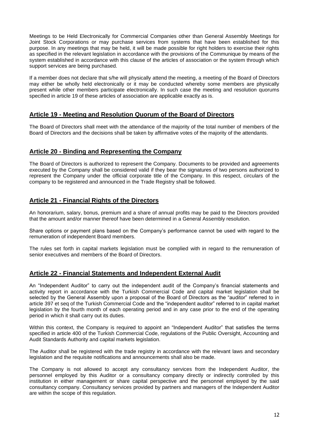Meetings to be Held Electronically for Commercial Companies other than General Assembly Meetings for Joint Stock Corporations or may purchase services from systems that have been established for this purpose. In any meetings that may be held, it will be made possible for right holders to exercise their rights as specified in the relevant legislation in accordance with the provisions of the Communique by means of the system established in accordance with this clause of the articles of association or the system through which support services are being purchased.

If a member does not declare that s/he will physically attend the meeting, a meeting of the Board of Directors may either be wholly held electronically or it may be conducted whereby some members are physically present while other members participate electronically. In such case the meeting and resolution quorums specified in article 19 of these articles of association are applicable exactly as is.

#### **Article 19 - Meeting and Resolution Quorum of the Board of Directors**

The Board of Directors shall meet with the attendance of the majority of the total number of members of the Board of Directors and the decisions shall be taken by affirmative votes of the majority of the attendants.

#### **Article 20 - Binding and Representing the Company**

The Board of Directors is authorized to represent the Company. Documents to be provided and agreements executed by the Company shall be considered valid if they bear the signatures of two persons authorized to represent the Company under the official corporate title of the Company. In this respect, circulars of the company to be registered and announced in the Trade Registry shall be followed.

## **Article 21 - Financial Rights of the Directors**

An honorarium, salary, bonus, premium and a share of annual profits may be paid to the Directors provided that the amount and/or manner thereof have been determined in a General Assembly resolution.

Share options or payment plans based on the Company's performance cannot be used with regard to the remuneration of independent Board members.

The rules set forth in capital markets legislation must be complied with in regard to the remuneration of senior executives and members of the Board of Directors.

#### **Article 22 - Financial Statements and Independent External Audit**

An "Independent Auditor" to carry out the independent audit of the Company's financial statements and activity report in accordance with the Turkish Commercial Code and capital market legislation shall be selected by the General Assembly upon a proposal of the Board of Directors as the "auditor" referred to in article 397 et seq of the Turkish Commercial Code and the "independent auditor" referred to in capital market legislation by the fourth month of each operating period and in any case prior to the end of the operating period in which it shall carry out its duties.

Within this context, the Company is required to appoint an "Independent Auditor" that satisfies the terms specified in article 400 of the Turkish Commercial Code, regulations of the Public Oversight, Accounting and Audit Standards Authority and capital markets legislation.

The Auditor shall be registered with the trade registry in accordance with the relevant laws and secondary legislation and the requisite notifications and announcements shall also be made.

The Company is not allowed to accept any consultancy services from the Independent Auditor, the personnel employed by this Auditor or a consultancy company directly or indirectly controlled by this institution in either management or share capital perspective and the personnel employed by the said consultancy company. Consultancy services provided by partners and managers of the Independent Auditor are within the scope of this regulation.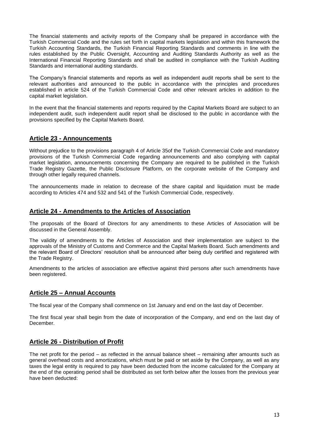The financial statements and activity reports of the Company shall be prepared in accordance with the Turkish Commercial Code and the rules set forth in capital markets legislation and within this framework the Turkish Accounting Standards, the Turkish Financial Reporting Standards and comments in line with the rules established by the Public Oversight, Accounting and Auditing Standards Authority as well as the International Financial Reporting Standards and shall be audited in compliance with the Turkish Auditing Standards and international auditing standards.

The Company's financial statements and reports as well as independent audit reports shall be sent to the relevant authorities and announced to the public in accordance with the principles and procedures established in article 524 of the Turkish Commercial Code and other relevant articles in addition to the capital market legislation.

In the event that the financial statements and reports required by the Capital Markets Board are subject to an independent audit, such independent audit report shall be disclosed to the public in accordance with the provisions specified by the Capital Markets Board.

## **Article 23 - Announcements**

Without prejudice to the provisions paragraph 4 of Article 35of the Turkish Commercial Code and mandatory provisions of the Turkish Commercial Code regarding announcements and also complying with capital market legislation, announcements concerning the Company are required to be published in the Turkish Trade Registry Gazette, the Public Disclosure Platform, on the corporate website of the Company and through other legally required channels.

The announcements made in relation to decrease of the share capital and liquidation must be made according to Articles 474 and 532 and 541 of the Turkish Commercial Code, respectively.

## **Article 24 - Amendments to the Articles of Association**

The proposals of the Board of Directors for any amendments to these Articles of Association will be discussed in the General Assembly.

The validity of amendments to the Articles of Association and their implementation are subject to the approvals of the Ministry of Customs and Commerce and the Capital Markets Board. Such amendments and the relevant Board of Directors' resolution shall be announced after being duly certified and registered with the Trade Registry.

Amendments to the articles of association are effective against third persons after such amendments have been registered.

#### **Article 25 – Annual Accounts**

The fiscal year of the Company shall commence on 1st January and end on the last day of December.

The first fiscal year shall begin from the date of incorporation of the Company, and end on the last day of December.

#### **Article 26 - Distribution of Profit**

The net profit for the period – as reflected in the annual balance sheet – remaining after amounts such as general overhead costs and amortizations, which must be paid or set aside by the Company, as well as any taxes the legal entity is required to pay have been deducted from the income calculated for the Company at the end of the operating period shall be distributed as set forth below after the losses from the previous year have been deducted: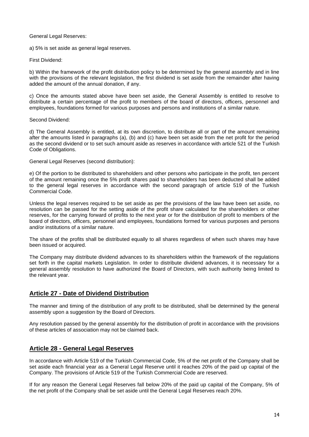General Legal Reserves:

a) 5% is set aside as general legal reserves.

First Dividend:

b) Within the framework of the profit distribution policy to be determined by the general assembly and in line with the provisions of the relevant legislation, the first dividend is set aside from the remainder after having added the amount of the annual donation, if any.

c) Once the amounts stated above have been set aside, the General Assembly is entitled to resolve to distribute a certain percentage of the profit to members of the board of directors, officers, personnel and employees, foundations formed for various purposes and persons and institutions of a similar nature.

Second Dividend:

d) The General Assembly is entitled, at its own discretion, to distribute all or part of the amount remaining after the amounts listed in paragraphs (a), (b) and (c) have been set aside from the net profit for the period as the second dividend or to set such amount aside as reserves in accordance with article 521 of the Turkish Code of Obligations.

General Legal Reserves (second distribution):

e) Of the portion to be distributed to shareholders and other persons who participate in the profit, ten percent of the amount remaining once the 5% profit shares paid to shareholders has been deducted shall be added to the general legal reserves in accordance with the second paragraph of article 519 of the Turkish Commercial Code.

Unless the legal reserves required to be set aside as per the provisions of the law have been set aside, no resolution can be passed for the setting aside of the profit share calculated for the shareholders or other reserves, for the carrying forward of profits to the next year or for the distribution of profit to members of the board of directors, officers, personnel and employees, foundations formed for various purposes and persons and/or institutions of a similar nature.

The share of the profits shall be distributed equally to all shares regardless of when such shares may have been issued or acquired.

The Company may distribute dividend advances to its shareholders within the framework of the regulations set forth in the capital markets Legislation. In order to distribute dividend advances, it is necessary for a general assembly resolution to have authorized the Board of Directors, with such authority being limited to the relevant year.

#### **Article 27 - Date of Dividend Distribution**

The manner and timing of the distribution of any profit to be distributed, shall be determined by the general assembly upon a suggestion by the Board of Directors.

Any resolution passed by the general assembly for the distribution of profit in accordance with the provisions of these articles of association may not be claimed back.

#### **Article 28 - General Legal Reserves**

In accordance with Article 519 of the Turkish Commercial Code, 5% of the net profit of the Company shall be set aside each financial year as a General Legal Reserve until it reaches 20% of the paid up capital of the Company. The provisions of Article 519 of the Turkish Commercial Code are reserved.

If for any reason the General Legal Reserves fall below 20% of the paid up capital of the Company, 5% of the net profit of the Company shall be set aside until the General Legal Reserves reach 20%.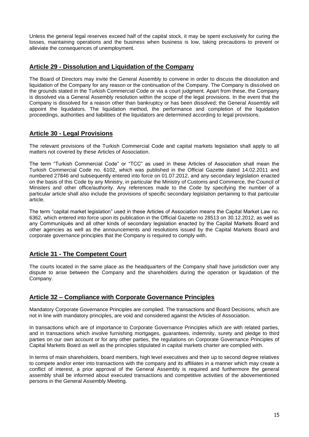Unless the general legal reserves exceed half of the capital stock, it may be spent exclusively for curing the losses, maintaining operations and the business when business is low, taking precautions to prevent or alleviate the consequences of unemployment.

#### **Article 29 - Dissolution and Liquidation of the Company**

The Board of Directors may invite the General Assembly to convene in order to discuss the dissolution and liquidation of the Company for any reason or the continuation of the Company. The Company is dissolved on the grounds stated in the Turkish Commercial Code or via a court judgment. Apart from these, the Company is dissolved via a General Assembly resolution within the scope of the legal provisions. In the event that the Company is dissolved for a reason other than bankruptcy or has been dissolved; the General Assembly will appoint the liquidators. The liquidation method, the performance and completion of the liquidation proceedings, authorities and liabilities of the liquidators are determined according to legal provisions.

#### **Article 30 - Legal Provisions**

The relevant provisions of the Turkish Commercial Code and capital markets legislation shall apply to all matters not covered by these Articles of Association.

The term "Turkish Commercial Code" or "TCC" as used in these Articles of Association shall mean the Turkish Commercial Code no. 6102, which was published in the Official Gazette dated 14.02.2011 and numbered 27846 and subsequently entered into force on 01.07.2012, and any secondary legislation enacted on the basis of this Code by any Ministry, in particular the Ministry of Customs and Commerce, the Council of Ministers and other office/authority. Any references made to the Code by specifying the number of a particular article shall also include the provisions of specific secondary legislation pertaining to that particular article.

The term "capital market legislation" used in these Articles of Association means the Capital Market Law no. 6362, which entered into force upon its publication in the Official Gazette no 28513 on 30.12.2012, as well as any Communiqués and all other kinds of secondary legislation enacted by the Capital Markets Board and other agencies as well as the announcements and resolutions issued by the Capital Markets Board and corporate governance principles that the Company is required to comply with.

## **Article 31 - The Competent Court**

The courts located in the same place as the headquarters of the Company shall have jurisdiction over any dispute to arise between the Company and the shareholders during the operation or liquidation of the Company.

#### **Article 32 – Compliance with Corporate Governance Principles**

Mandatory Corporate Governance Principles are complied. The transactions and Board Decisions, which are not in line with mandatory principles, are void and considered against the Articles of Association.

In transactions which are of importance to Corporate Governance Principles which are with related parties, and in transactions which involve furnishing mortgages, guarantees, indemnity, surety and pledge to third parties on our own account or for any other parties, the regulations on Corporate Governance Principles of Capital Markets Board as well as the principles stipulated in capital markets charter are complied with.

In terms of main shareholders, board members, high level executives and their up to second degree relatives to compete and/or enter into transactions with the company and its affiliates in a manner which may create a conflict of interest, a prior approval of the General Assembly is required and furthermore the general assembly shall be informed about executed transactions and competitive activities of the abovementioned persons in the General Assembly Meeting.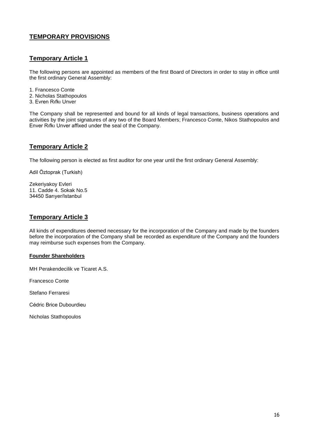## **TEMPORARY PROVISIONS**

#### **Temporary Article 1**

The following persons are appointed as members of the first Board of Directors in order to stay in office until the first ordinary General Assembly:

- 1. Francesco Conte
- 2. Nicholas Stathopoulos
- 3. Evren Rıfkı Unver

The Company shall be represented and bound for all kinds of legal transactions, business operations and activities by the joint signatures of any two of the Board Members; Francesco Conte, Nikos Stathopoulos and Enver Rıfkı Unver affixed under the seal of the Company.

#### **Temporary Article 2**

The following person is elected as first auditor for one year until the first ordinary General Assembly:

Adil Öztoprak (Turkish)

Zekeriyakoy Evleri 11. Cadde 4. Sokak No.5 34450 Sarıyer/Istanbul

#### **Temporary Article 3**

All kinds of expenditures deemed necessary for the incorporation of the Company and made by the founders before the incorporation of the Company shall be recorded as expenditure of the Company and the founders may reimburse such expenses from the Company.

#### **Founder Shareholders**

MH Perakendecilik ve Ticaret A.S.

Francesco Conte

Stefano Ferraresi

Cédric Brice Dubourdieu

Nicholas Stathopoulos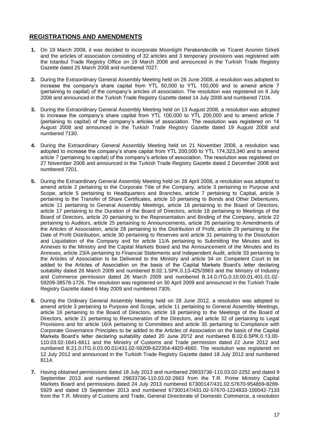#### **REGISTRATIONS AND AMENDMENTS**

- **1.** On 19 March 2008, it was decided to incorporate Moonlight Perakendecilik ve Ticaret Anonim Sirketi and the articles of association consisting of 32 articles and 3 temporary provisions was registered with the Istanbul Trade Registry Office on 19 March 2008 and announced in the Turkish Trade Registry Gazette dated 25 March 2008 and numbered 7027.
- **2.** During the Extraordinary General Assembly Meeting held on 26 June 2008, a resolution was adopted to increase the company's share capital from YTL 50,000 to YTL 100,000 and to amend article 7 (pertaining to capital) of the company's articles of association. The resolution was registered on 8 July 2008 and announced in the Turkish Trade Registry Gazette dated 14 July 2008 and numbered 7104.
- **3.** During the Extraordinary General Assembly Meeting held on 13 August 2008, a resolution was adopted to increase the company's share capital from YTL 100,000 to YTL 200,000 and to amend article 7 (pertaining to capital) of the company's articles of association. The resolution was registered on 14 August 2008 and announced in the Turkish Trade Registry Gazette dated 19 August 2008 and numbered 7130.
- **4.** During the Extraordinary General Assembly Meeting held on 21 November 2008, a resolution was adopted to increase the company's share capital from YTL 200,000 to YTL 174,323,340 and to amend article 7 (pertaining to capital) of the company's articles of association. The resolution was registered on 27 November 2008 and announced in the Turkish Trade Registry Gazette dated 2 December 2008 and numbered 7201.
- **5.** During the Extraordinary General Assembly Meeting held on 28 April 2008, a resolution was adopted to amend article 2 pertaining to the Corporate Title of the Company, article 3 pertaining to Purpose and Scope, article 5 pertaining to Headquarters and Branches, article 7 pertaining to Capital, article 9 pertaining to the Transfer of Share Certificates, article 10 pertaining to Bonds and Other Debentures, article 11 pertaining to General Assembly Meetings, article 16 pertaining to the Board of Directors, article 17 pertaining to the Duration of the Board of Directors, article 18 pertaining to Meetings of the Board of Directors, article 20 pertaining to the Representation and Binding of the Company, article 22 pertaining to Auditors, article 25 pertaining to Announcements, article 26 pertaining to Amendments of the Articles of Association, article 28 pertaining to the Distribution of Profit, article 29 pertaining to the Date of Profit Distribution, article 30 pertaining to Reserves and article 31 pertaining to the Dissolution and Liquidation of the Company and for article 11/A pertaining to Submitting the Minutes and its Annexes to the Ministry and the Capital Markets Board and the Announcement of the Minutes and its Annexes, article 23/A pertaining to Financial Statements and Independent Audit, article 33 pertaining to the Articles of Association to be Delivered to the Ministry and article 34 on Competent Court to be added to the Articles of Association on the basis of the Capital Markets Board's letter declaring suitability dated 26 March 2009 and numbered B.02.1.SPK.0.13-425/3963 and the Ministry of Industry and Commerce permission dated 26 March 2009 and numbered B.14.0.ITG.0.10.00.01.401.01.02- 59209-38578-1726. The resolution was registered on 30 April 2009 and announced in the Turkish Trade Registry Gazette dated 6 May 2009 and numbered 7305.
- **6.** During the Ordinary General Assembly Meeting held on 28 June 2012, a resolution was adopted to amend article 3 pertaining to Purpose and Scope, article 11 pertaining to General Assembly Meetings, article 16 pertaining to the Board of Directors, article 18 pertaining to the Meetings of the Board of Directors, article 21 pertaining to Remuneration of the Directors, and article 32 of pertaining to Legal Provisions and for article 16/A pertaining to Committees and article 35 pertaining to Compliance with Corporate Governance Principles to be added to the Articles of Association on the basis of the Capital Markets Board's letter declaring suitability dated 20 June 2012 and numbered B.02.6.SPK.0.13.00- 110.03.02-1641-6611 and the Ministry of Customs and Trade permission dated 22 June 2012 and numbered B.21.0.ITG.0.03.00.01/431.02-59209-622354-4820-4660. The resolution was registered on 12 July 2012 and announced in the Turkish Trade Registry Gazette dated 18 July 2012 and numbered 8114.
- **7.** Having obtained permissions dated 18 July 2013 and numbered 29833736-110.03.02-2252 and dated 9 September 2013 and numbered 29833736-110.03.02-2663 from the T.R. Prime Ministry Capital Markets Board and permissions dated 24 July 2013 numbered 67300147/431.02.57670-954859-8289- 5929 and dated 19 September 2013 and numbered 67300147/431.02-57670-1224833-100042-7133 from the T.R. Ministry of Customs and Trade, General Directorate of Domestic Commerce, a resolution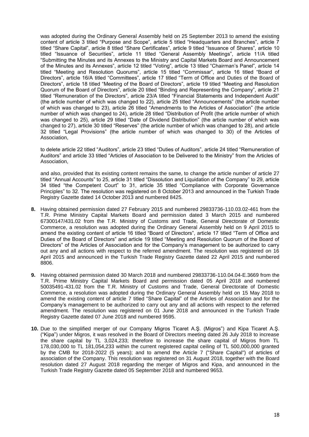was adopted during the Ordinary General Assembly held on 25 September 2013 to amend the existing content of article 3 titled "Purpose and Scope", article 5 titled "Headquarters and Branches", article 7 titled "Share Capital", article 8 titled "Share Certificates", article 9 titled "Issuance of Shares", article 10 titled "Issuance of Securities", article 11 titled "General Assembly Meetings", article 11/A titled "Submitting the Minutes and its Annexes to the Ministry and Capital Markets Board and Announcement of the Minutes and its Annexes", article 12 titled "Voting", article 13 titled "Chairman's Panel", article 14 titled "Meeting and Resolution Quorums", article 15 titled "Commissar", article 16 titled "Board of Directors", article 16/A titled "Committees", article 17 titled "Term of Office and Duties of the Board of Directors", article 18 titled "Meeting of the Board of Directors", article 19 titled "Meeting and Resolution Quorum of the Board of Directors", article 20 titled "Binding and Representing the Company", article 21 titled "Remuneration of the Directors", article 23/A titled "Financial Statements and Independent Audit" (the article number of which was changed to 22), article 25 titled "Announcements" (the article number of which was changed to 23), article 26 titled "Amendments to the Articles of Association" (the article number of which was changed to 24), article 28 titled "Distribution of Profit (the article number of which was changed to 25), article 29 titled "Date of Dividend Distribution" (the article number of which was changed to 27), article 30 titled "Reserves" (the article number of which was changed to 28), and article 32 titled "Legal Provisions" (the article number of which was changed to 30) of the Articles of Association,

to delete article 22 titled "Auditors", article 23 titled "Duties of Auditors", article 24 titled "Remuneration of Auditors" and article 33 titled "Articles of Association to be Delivered to the Ministry" from the Articles of Association,

and also, provided that its existing content remains the same, to change the article number of article 27 titled "Annual Accounts" to 25, article 31 titled "Dissolution and Liquidation of the Company" to 29, article 34 titled "the Competent Court" to 31, article 35 titled "Compliance with Corporate Governance Principles" to 32. The resolution was registered on 8 October 2013 and announced in the Turkish Trade Registry Gazette dated 14 October 2013 and numbered 8425.

- **8.** Having obtained permission dated 27 February 2015 and numbered 29833736-110.03.02-461 from the T.R. Prime Ministry Capital Markets Board and permission dated 3 March 2015 and numbered 67300147/431.02 from the T.R. Ministry of Customs and Trade, General Directorate of Domestic Commerce, a resolution was adopted during the Ordinary General Assembly held on 9 April 2015 to amend the existing content of article 16 titled "Board of Directors", article 17 titled "Term of Office and Duties of the Board of Directors" and article 19 titled "Meeting and Resolution Quorum of the Board of Directors" of the Articles of Association and for the Company's management to be authorized to carry out any and all actions with respect to the referred amendment. The resolution was registered on 16 April 2015 and announced in the Turkish Trade Registry Gazette dated 22 April 2015 and numbered 8806.
- **9.** Having obtained permission dated 30 March 2018 and numbered 29833736-110.04.04-E.3669 from the T.R. Prime Ministry Capital Markets Board and permission dated 05 April 2018 and numbered 50035491-431.02 from the T.R. Ministry of Customs and Trade, General Directorate of Domestic Commerce, a resolution was adopted during the Ordinary General Assembly held on 15 May 2018 to amend the existing content of article 7 titled "Share Capital" of the Articles of Association and for the Company's management to be authorized to carry out any and all actions with respect to the referred amendment. The resolution was registered on 01 June 2018 and announced in the Turkish Trade Registry Gazette dated 07 June 2018 and numbered 9595.
- **10.** Due to the simplified merger of our Company Migros Ticaret A.Ş. (Migros") and Kipa Ticaret A.Ş. ("Kipa") under Migros, it was resolved in the Board of Directors meeting dated 26 July 2018 to increase the share capital by TL 3,024,233; therefore to increase the share capital of Migros from TL 178,030,000 to TL 181,054,233 within the current registered capital ceiling of TL 500,000,000 granted by the CMB for 2018-2022 (5 years); and to amend the Article 7 ("Share Capital") of articles of association of the Company. This resolution was registered on 31 August 2018, together with the Board resolution dated 27 August 2018 regarding the merger of Migros and Kipa, and announced in the Turkish Trade Registry Gazette dated 05 September 2018 and numbered 9653.